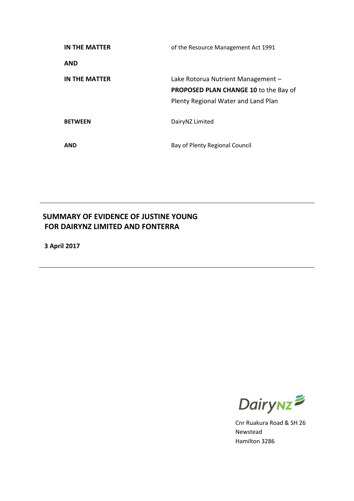| IN THE MATTER        | of the Resource Management Act 1991                                                                                       |  |
|----------------------|---------------------------------------------------------------------------------------------------------------------------|--|
| <b>AND</b>           |                                                                                                                           |  |
| <b>IN THE MATTER</b> | Lake Rotorua Nutrient Management -<br><b>PROPOSED PLAN CHANGE 10 to the Bay of</b><br>Plenty Regional Water and Land Plan |  |
| <b>BETWEEN</b>       | DairyNZ Limited                                                                                                           |  |
| <b>AND</b>           | Bay of Plenty Regional Council                                                                                            |  |

# **SUMMARY OF EVIDENCE OF JUSTINE YOUNG FOR DAIRYNZ LIMITED AND FONTERRA**

**3 April 2017**



Cnr Ruakura Road & SH 26 Newstead Hamilton 3286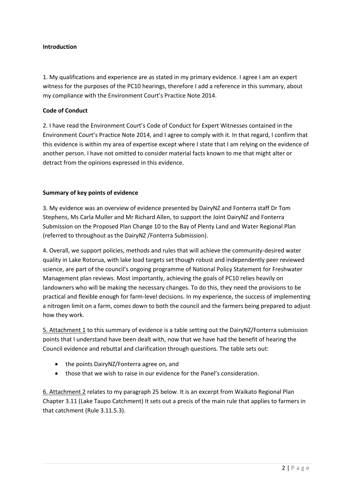## **Introduction**

1. My qualifications and experience are as stated in my primary evidence. I agree I am an expert witness for the purposes of the PC10 hearings, therefore I add a reference in this summary, about my compliance with the Environment Court's Practice Note 2014.

## **Code of Conduct**

2. I have read the Environment Court's Code of Conduct for Expert Witnesses contained in the Environment Court's Practice Note 2014, and I agree to comply with it. In that regard, I confirm that this evidence is within my area of expertise except where I state that I am relying on the evidence of another person. I have not omitted to consider material facts known to me that might alter or detract from the opinions expressed in this evidence.

## **Summary of key points of evidence**

3. My evidence was an overview of evidence presented by DairyNZ and Fonterra staff Dr Tom Stephens, Ms Carla Muller and Mr Richard Allen, to support the Joint DairyNZ and Fonterra Submission on the Proposed Plan Change 10 to the Bay of Plenty Land and Water Regional Plan (referred to throughout as the DairyNZ /Fonterra Submission).

4. Overall, we support policies, methods and rules that will achieve the community-desired water quality in Lake Rotorua, with lake load targets set though robust and independently peer reviewed science, are part of the council's ongoing programme of National Policy Statement for Freshwater Management plan reviews. Most importantly, achieving the goals of PC10 relies heavily on landowners who will be making the necessary changes. To do this, they need the provisions to be practical and flexible enough for farm-level decisions. In my experience, the success of implementing a nitrogen limit on a farm, comes down to both the council and the farmers being prepared to adjust how they work.

5. Attachment 1 to this summary of evidence is a table setting out the DairyNZ/Fonterra submission points that I understand have been dealt with, now that we have had the benefit of hearing the Council evidence and rebuttal and clarification through questions. The table sets out:

- the points DairyNZ/Fonterra agree on, and
- those that we wish to raise in our evidence for the Panel's consideration.

6. Attachment 2 relates to my paragraph 25 below. It is an excerpt from Waikato Regional Plan Chapter 3.11 (Lake Taupo Catchment) It sets out a precis of the main rule that applies to farmers in that catchment (Rule 3.11.5.3).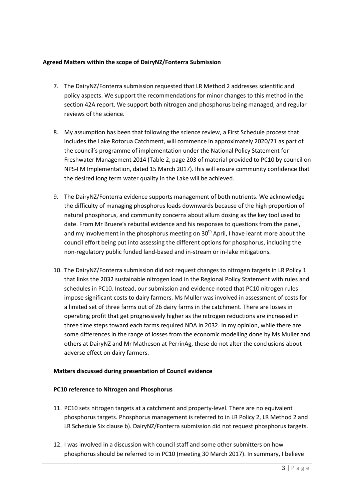# **Agreed Matters within the scope of DairyNZ/Fonterra Submission**

- 7. The DairyNZ/Fonterra submission requested that LR Method 2 addresses scientific and policy aspects. We support the recommendations for minor changes to this method in the section 42A report. We support both nitrogen and phosphorus being managed, and regular reviews of the science.
- 8. My assumption has been that following the science review, a First Schedule process that includes the Lake Rotorua Catchment, will commence in approximately 2020/21 as part of the council's programme of implementation under the National Policy Statement for Freshwater Management 2014 (Table 2, page 203 of material provided to PC10 by council on NPS-FM Implementation, dated 15 March 2017).This will ensure community confidence that the desired long term water quality in the Lake will be achieved.
- 9. The DairyNZ/Fonterra evidence supports management of both nutrients. We acknowledge the difficulty of managing phosphorus loads downwards because of the high proportion of natural phosphorus, and community concerns about allum dosing as the key tool used to date. From Mr Bruere's rebuttal evidence and his responses to questions from the panel, and my involvement in the phosphorus meeting on  $30<sup>th</sup>$  April, I have learnt more about the council effort being put into assessing the different options for phosphorus, including the non-regulatory public funded land-based and in-stream or in-lake mitigations.
- 10. The DairyNZ/Fonterra submission did not request changes to nitrogen targets in LR Policy 1 that links the 2032 sustainable nitrogen load in the Regional Policy Statement with rules and schedules in PC10. Instead, our submission and evidence noted that PC10 nitrogen rules impose significant costs to dairy farmers. Ms Muller was involved in assessment of costs for a limited set of three farms out of 26 dairy farms in the catchment. There are losses in operating profit that get progressively higher as the nitrogen reductions are increased in three time steps toward each farms required NDA in 2032. In my opinion, while there are some differences in the range of losses from the economic modelling done by Ms Muller and others at DairyNZ and Mr Matheson at PerrinAg, these do not alter the conclusions about adverse effect on dairy farmers.

#### **Matters discussed during presentation of Council evidence**

#### **PC10 reference to Nitrogen and Phosphorus**

- 11. PC10 sets nitrogen targets at a catchment and property-level. There are no equivalent phosphorus targets. Phosphorus management is referred to in LR Policy 2, LR Method 2 and LR Schedule Six clause b). DairyNZ/Fonterra submission did not request phosphorus targets.
- 12. I was involved in a discussion with council staff and some other submitters on how phosphorus should be referred to in PC10 (meeting 30 March 2017). In summary, I believe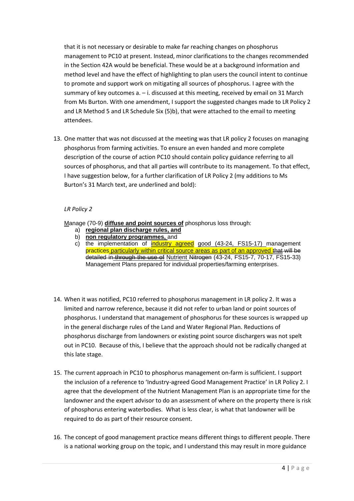that it is not necessary or desirable to make far reaching changes on phosphorus management to PC10 at present. Instead, minor clarifications to the changes recommended in the Section 42A would be beneficial. These would be at a background information and method level and have the effect of highlighting to plan users the council intent to continue to promote and support work on mitigating all sources of phosphorus. I agree with the summary of key outcomes a. – i. discussed at this meeting, received by email on 31 March from Ms Burton. With one amendment, I support the suggested changes made to LR Policy 2 and LR Method 5 and LR Schedule Six (5)b), that were attached to the email to meeting attendees.

13. One matter that was not discussed at the meeting was that LR policy 2 focuses on managing phosphorus from farming activities. To ensure an even handed and more complete description of the course of action PC10 should contain policy guidance referring to all sources of phosphorus, and that all parties will contribute to its management. To that effect, I have suggestion below, for a further clarification of LR Policy 2 (my additions to Ms Burton's 31 March text, are underlined and bold):

# *LR Policy 2*

Manage (70-9) **diffuse and point sources of** phosphorus loss through:

- a) **regional plan discharge rules, and**
- b) **non regulatory programmes,** and
- c) the implementation of industry agreed good (43-24, FS15-17) management practices particularly within critical source areas as part of an approved that will be detailed in through the use of Nutrient Nitrogen (43-24, FS15-7, 70-17, FS15-33) Management Plans prepared for individual properties/farming enterprises.
- 14. When it was notified, PC10 referred to phosphorus management in LR policy 2. It was a limited and narrow reference, because it did not refer to urban land or point sources of phosphorus. I understand that management of phosphorus for these sources is wrapped up in the general discharge rules of the Land and Water Regional Plan. Reductions of phosphorus discharge from landowners or existing point source dischargers was not spelt out in PC10. Because of this, I believe that the approach should not be radically changed at this late stage.
- 15. The current approach in PC10 to phosphorus management on-farm is sufficient. I support the inclusion of a reference to 'Industry-agreed Good Management Practice' in LR Policy 2. I agree that the development of the Nutrient Management Plan is an appropriate time for the landowner and the expert advisor to do an assessment of where on the property there is risk of phosphorus entering waterbodies. What is less clear, is what that landowner will be required to do as part of their resource consent.
- 16. The concept of good management practice means different things to different people. There is a national working group on the topic, and I understand this may result in more guidance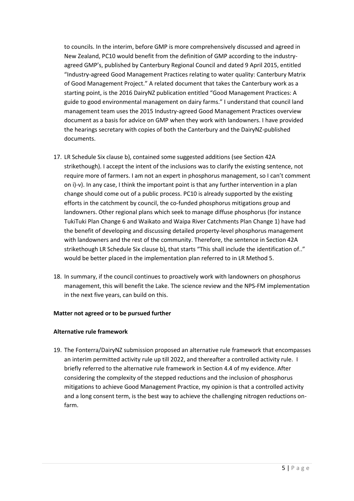to councils. In the interim, before GMP is more comprehensively discussed and agreed in New Zealand, PC10 would benefit from the definition of GMP according to the industryagreed GMP's, published by Canterbury Regional Council and dated 9 April 2015, entitled "Industry-agreed Good Management Practices relating to water quality: Canterbury Matrix of Good Management Project." A related document that takes the Canterbury work as a starting point, is the 2016 DairyNZ publication entitled "Good Management Practices: A guide to good environmental management on dairy farms." I understand that council land management team uses the 2015 Industry-agreed Good Management Practices overview document as a basis for advice on GMP when they work with landowners. I have provided the hearings secretary with copies of both the Canterbury and the DairyNZ-published documents.

- 17. LR Schedule Six clause b), contained some suggested additions (see Section 42A strikethough). I accept the intent of the inclusions was to clarify the existing sentence, not require more of farmers. I am not an expert in phosphorus management, so I can't comment on i)-v). In any case, I think the important point is that any further intervention in a plan change should come out of a public process. PC10 is already supported by the existing efforts in the catchment by council, the co-funded phosphorus mitigations group and landowners. Other regional plans which seek to manage diffuse phosphorus (for instance TukiTuki Plan Change 6 and Waikato and Waipa River Catchments Plan Change 1) have had the benefit of developing and discussing detailed property-level phosphorus management with landowners and the rest of the community. Therefore, the sentence in Section 42A strikethough LR Schedule Six clause b), that starts "This shall include the identification of.." would be better placed in the implementation plan referred to in LR Method 5.
- 18. In summary, if the council continues to proactively work with landowners on phosphorus management, this will benefit the Lake. The science review and the NPS-FM implementation in the next five years, can build on this.

#### **Matter not agreed or to be pursued further**

#### **Alternative rule framework**

19. The Fonterra/DairyNZ submission proposed an alternative rule framework that encompasses an interim permitted activity rule up till 2022, and thereafter a controlled activity rule. I briefly referred to the alternative rule framework in Section 4.4 of my evidence. After considering the complexity of the stepped reductions and the inclusion of phosphorus mitigations to achieve Good Management Practice, my opinion is that a controlled activity and a long consent term, is the best way to achieve the challenging nitrogen reductions onfarm.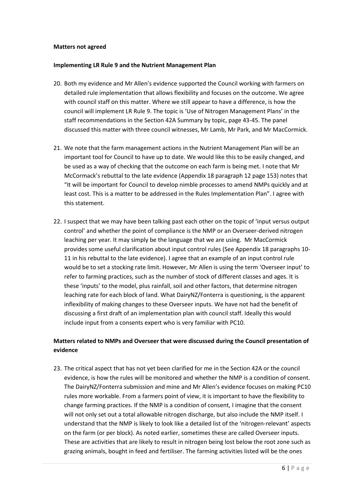#### **Matters not agreed**

#### **Implementing LR Rule 9 and the Nutrient Management Plan**

- 20. Both my evidence and Mr Allen's evidence supported the Council working with farmers on detailed rule implementation that allows flexibility and focuses on the outcome. We agree with council staff on this matter. Where we still appear to have a difference, is how the council will implement LR Rule 9. The topic is 'Use of Nitrogen Management Plans' in the staff recommendations in the Section 42A Summary by topic, page 43-45. The panel discussed this matter with three council witnesses, Mr Lamb, Mr Park, and Mr MacCormick.
- 21. We note that the farm management actions in the Nutrient Management Plan will be an important tool for Council to have up to date. We would like this to be easily changed, and be used as a way of checking that the outcome on each farm is being met. I note that Mr McCormack's rebuttal to the late evidence (Appendix 18 paragraph 12 page 153) notes that "It will be important for Council to develop nimble processes to amend NMPs quickly and at least cost. This is a matter to be addressed in the Rules Implementation Plan". I agree with this statement.
- 22. I suspect that we may have been talking past each other on the topic of 'input versus output control' and whether the point of compliance is the NMP or an Overseer-derived nitrogen leaching per year. It may simply be the language that we are using. Mr MacCormick provides some useful clarification about input control rules (See Appendix 18 paragraphs 10- 11 in his rebuttal to the late evidence). I agree that an example of an input control rule would be to set a stocking rate limit. However, Mr Allen is using the term 'Overseer input' to refer to farming practices, such as the number of stock of different classes and ages. It is these 'inputs' to the model, plus rainfall, soil and other factors, that determine nitrogen leaching rate for each block of land. What DairyNZ/Fonterra is questioning, is the apparent inflexibility of making changes to these Overseer inputs. We have not had the benefit of discussing a first draft of an implementation plan with council staff. Ideally this would include input from a consents expert who is very familiar with PC10.

# **Matters related to NMPs and Overseer that were discussed during the Council presentation of evidence**

23. The critical aspect that has not yet been clarified for me in the Section 42A or the council evidence, is how the rules will be monitored and whether the NMP is a condition of consent. The DairyNZ/Fonterra submission and mine and Mr Allen's evidence focuses on making PC10 rules more workable. From a farmers point of view, it is important to have the flexibility to change farming practices. If the NMP is a condition of consent, I imagine that the consent will not only set out a total allowable nitrogen discharge, but also include the NMP itself. I understand that the NMP is likely to look like a detailed list of the 'nitrogen-relevant' aspects on the farm (or per block). As noted earlier, sometimes these are called Overseer inputs. These are activities that are likely to result in nitrogen being lost below the root zone such as grazing animals, bought in feed and fertiliser. The farming activities listed will be the ones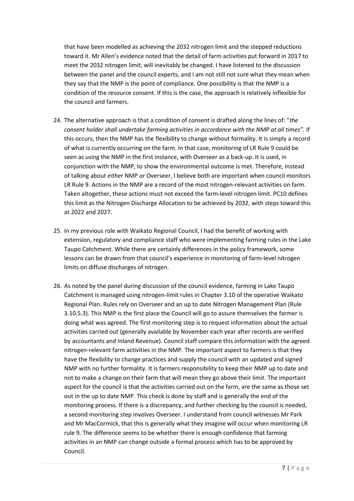that have been modelled as achieving the 2032 nitrogen limit and the stepped reductions toward it. Mr Allen's evidence noted that the detail of farm activities put forward in 2017 to meet the 2032 nitrogen limit, will inevitably be changed. I have listened to the discussion between the panel and the council experts, and I am not still not sure what they mean when they say that the NMP is the point of compliance. One possibility is that the NMP is a condition of the resource consent. If this is the case, the approach is relatively inflexible for the council and farmers.

- 24. The alternative approach is that a condition of consent is drafted along the lines of: "*the consent holder shall undertake farming activities in accordance with the NMP at all times".* If this occurs, then the NMP has the flexibility to change without formality. It is simply a record of what is currently occurring on the farm. In that case, monitoring of LR Rule 9 could be seen as using the NMP in the first instance, with Overseer as a back-up. It is used, in conjunction with the NMP, to show the environmental outcome is met. Therefore, instead of talking about *either* NMP *or* Overseer, I believe both are important when council monitors LR Rule 9. Actions in the NMP are a record of the most nitrogen-relevant activities on farm. Taken altogether, these actions must not exceed the farm-level nitrogen limit. PC10 defines this limit as the Nitrogen Discharge Allocation to be achieved by 2032, with steps toward this at 2022 and 2027.
- 25. In my previous role with Waikato Regional Council, I had the benefit of working with extension, regulatory and compliance staff who were implementing farming rules in the Lake Taupo Catchment. While there are certainly differences in the policy framework, some lessons can be drawn from that council's experience in monitoring of farm-level nitrogen limits on diffuse discharges of nitrogen.
- 26. As noted by the panel during discussion of the council evidence, farming in Lake Taupo Catchment is managed using nitrogen-limit rules in Chapter 3.10 of the operative Waikato Regional Plan. Rules rely on Overseer and an up to date Nitrogen Management Plan (Rule 3.10.5.3). This NMP is the first place the Council will go to assure themselves the farmer is doing what was agreed. The first monitoring step is to request information about the actual activities carried out (generally available by November each year after records are verified by accountants and Inland Revenue). Council staff compare this information with the agreed nitrogen-relevant farm activities in the NMP. The important aspect to farmers is that they have the flexibility to change practices and supply the council with an updated and signed NMP with no further formality. It is farmers responsibility to keep their NMP up to date and not to make a change on their farm that will mean they go above their limit. The important aspect for the council is that the activities carried out on the farm, are the same as those set out in the up to date NMP. This check is done by staff and is generally the end of the monitoring process. If there is a discrepancy, and further checking by the council is needed, a second monitoring step involves Overseer. I understand from council witnesses Mr Park and Mr MacCormick, that this is generally what they imagine will occur when monitoring LR rule 9. The difference seems to be whether there is enough confidence that farming activities in an NMP can change outside a formal process which has to be approved by Council.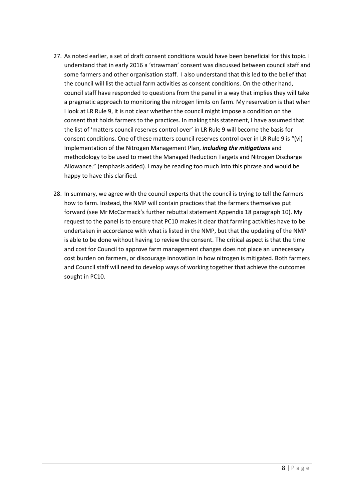- 27. As noted earlier, a set of draft consent conditions would have been beneficial for this topic. I understand that in early 2016 a 'strawman' consent was discussed between council staff and some farmers and other organisation staff. I also understand that this led to the belief that the council will list the actual farm activities as consent conditions. On the other hand, council staff have responded to questions from the panel in a way that implies they will take a pragmatic approach to monitoring the nitrogen limits on farm. My reservation is that when I look at LR Rule 9, it is not clear whether the council might impose a condition on the consent that holds farmers to the practices. In making this statement, I have assumed that the list of 'matters council reserves control over' in LR Rule 9 will become the basis for consent conditions. One of these matters council reserves control over in LR Rule 9 is "(vi) Implementation of the Nitrogen Management Plan, *including the mitigations* and methodology to be used to meet the Managed Reduction Targets and Nitrogen Discharge Allowance." (emphasis added). I may be reading too much into this phrase and would be happy to have this clarified.
- 28. In summary, we agree with the council experts that the council is trying to tell the farmers how to farm. Instead, the NMP will contain practices that the farmers themselves put forward (see Mr McCormack's further rebuttal statement Appendix 18 paragraph 10). My request to the panel is to ensure that PC10 makes it clear that farming activities have to be undertaken in accordance with what is listed in the NMP, but that the updating of the NMP is able to be done without having to review the consent. The critical aspect is that the time and cost for Council to approve farm management changes does not place an unnecessary cost burden on farmers, or discourage innovation in how nitrogen is mitigated. Both farmers and Council staff will need to develop ways of working together that achieve the outcomes sought in PC10.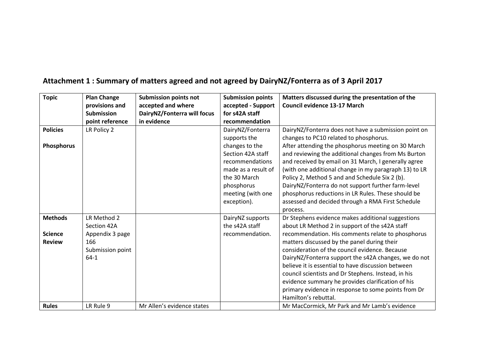| <b>Topic</b>    | <b>Plan Change</b> | <b>Submission points not</b> | <b>Submission points</b> | Matters discussed during the presentation of the      |
|-----------------|--------------------|------------------------------|--------------------------|-------------------------------------------------------|
|                 | provisions and     | accepted and where           | accepted - Support       | <b>Council evidence 13-17 March</b>                   |
|                 | <b>Submission</b>  | DairyNZ/Fonterra will focus  | for s42A staff           |                                                       |
|                 | point reference    | in evidence                  | recommendation           |                                                       |
| <b>Policies</b> | LR Policy 2        |                              | DairyNZ/Fonterra         | DairyNZ/Fonterra does not have a submission point on  |
|                 |                    |                              | supports the             | changes to PC10 related to phosphorus.                |
| Phosphorus      |                    |                              | changes to the           | After attending the phosphorus meeting on 30 March    |
|                 |                    |                              | Section 42A staff        | and reviewing the additional changes from Ms Burton   |
|                 |                    |                              | recommendations          | and received by email on 31 March, I generally agree  |
|                 |                    |                              | made as a result of      | (with one additional change in my paragraph 13) to LR |
|                 |                    |                              | the 30 March             | Policy 2, Method 5 and and Schedule Six 2 (b).        |
|                 |                    |                              | phosphorus               | DairyNZ/Fonterra do not support further farm-level    |
|                 |                    |                              | meeting (with one        | phosphorus reductions in LR Rules. These should be    |
|                 |                    |                              | exception).              | assessed and decided through a RMA First Schedule     |
|                 |                    |                              |                          | process.                                              |
| <b>Methods</b>  | LR Method 2        |                              | DairyNZ supports         | Dr Stephens evidence makes additional suggestions     |
|                 | Section 42A        |                              | the s42A staff           | about LR Method 2 in support of the s42A staff        |
| <b>Science</b>  | Appendix 3 page    |                              | recommendation.          | recommendation. His comments relate to phosphorus     |
| <b>Review</b>   | 166                |                              |                          | matters discussed by the panel during their           |
|                 | Submission point   |                              |                          | consideration of the council evidence. Because        |
|                 | $64-1$             |                              |                          | DairyNZ/Fonterra support the s42A changes, we do not  |
|                 |                    |                              |                          | believe it is essential to have discussion between    |
|                 |                    |                              |                          | council scientists and Dr Stephens. Instead, in his   |
|                 |                    |                              |                          | evidence summary he provides clarification of his     |
|                 |                    |                              |                          | primary evidence in response to some points from Dr   |
|                 |                    |                              |                          | Hamilton's rebuttal.                                  |
| <b>Rules</b>    | LR Rule 9          | Mr Allen's evidence states   |                          | Mr MacCormick, Mr Park and Mr Lamb's evidence         |

# **Attachment 1 : Summary of matters agreed and not agreed by DairyNZ/Fonterra as of 3 April 2017**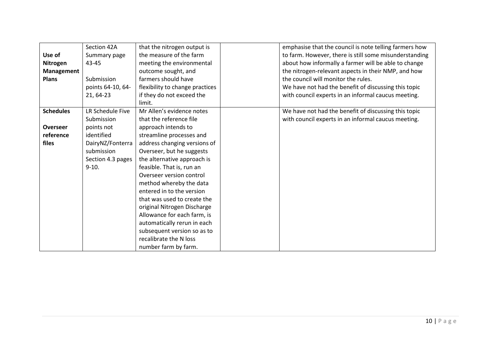| Use of<br>Nitrogen<br><b>Management</b><br><b>Plans</b> | Section 42A<br>Summary page<br>43-45<br>Submission<br>points 64-10, 64-<br>21, 64-23 | that the nitrogen output is<br>the measure of the farm<br>meeting the environmental<br>outcome sought, and<br>farmers should have<br>flexibility to change practices<br>if they do not exceed the | emphasise that the council is note telling farmers how<br>to farm. However, there is still some misunderstanding<br>about how informally a farmer will be able to change<br>the nitrogen-relevant aspects in their NMP, and how<br>the council will monitor the rules.<br>We have not had the benefit of discussing this topic<br>with council experts in an informal caucus meeting. |
|---------------------------------------------------------|--------------------------------------------------------------------------------------|---------------------------------------------------------------------------------------------------------------------------------------------------------------------------------------------------|---------------------------------------------------------------------------------------------------------------------------------------------------------------------------------------------------------------------------------------------------------------------------------------------------------------------------------------------------------------------------------------|
|                                                         |                                                                                      | limit.                                                                                                                                                                                            |                                                                                                                                                                                                                                                                                                                                                                                       |
| <b>Schedules</b>                                        | LR Schedule Five                                                                     | Mr Allen's evidence notes                                                                                                                                                                         | We have not had the benefit of discussing this topic                                                                                                                                                                                                                                                                                                                                  |
|                                                         | Submission                                                                           | that the reference file                                                                                                                                                                           | with council experts in an informal caucus meeting.                                                                                                                                                                                                                                                                                                                                   |
| <b>Overseer</b>                                         | points not                                                                           | approach intends to                                                                                                                                                                               |                                                                                                                                                                                                                                                                                                                                                                                       |
| reference                                               | identified                                                                           | streamline processes and                                                                                                                                                                          |                                                                                                                                                                                                                                                                                                                                                                                       |
| files                                                   | DairyNZ/Fonterra                                                                     | address changing versions of                                                                                                                                                                      |                                                                                                                                                                                                                                                                                                                                                                                       |
|                                                         | submission                                                                           | Overseer, but he suggests                                                                                                                                                                         |                                                                                                                                                                                                                                                                                                                                                                                       |
|                                                         | Section 4.3 pages                                                                    | the alternative approach is                                                                                                                                                                       |                                                                                                                                                                                                                                                                                                                                                                                       |
|                                                         | $9-10.$                                                                              | feasible. That is, run an                                                                                                                                                                         |                                                                                                                                                                                                                                                                                                                                                                                       |
|                                                         |                                                                                      | Overseer version control                                                                                                                                                                          |                                                                                                                                                                                                                                                                                                                                                                                       |
|                                                         |                                                                                      | method whereby the data                                                                                                                                                                           |                                                                                                                                                                                                                                                                                                                                                                                       |
|                                                         |                                                                                      | entered in to the version                                                                                                                                                                         |                                                                                                                                                                                                                                                                                                                                                                                       |
|                                                         |                                                                                      | that was used to create the                                                                                                                                                                       |                                                                                                                                                                                                                                                                                                                                                                                       |
|                                                         |                                                                                      | original Nitrogen Discharge                                                                                                                                                                       |                                                                                                                                                                                                                                                                                                                                                                                       |
|                                                         |                                                                                      | Allowance for each farm, is                                                                                                                                                                       |                                                                                                                                                                                                                                                                                                                                                                                       |
|                                                         |                                                                                      | automatically rerun in each                                                                                                                                                                       |                                                                                                                                                                                                                                                                                                                                                                                       |
|                                                         |                                                                                      | subsequent version so as to                                                                                                                                                                       |                                                                                                                                                                                                                                                                                                                                                                                       |
|                                                         |                                                                                      | recalibrate the N loss                                                                                                                                                                            |                                                                                                                                                                                                                                                                                                                                                                                       |
|                                                         |                                                                                      | number farm by farm.                                                                                                                                                                              |                                                                                                                                                                                                                                                                                                                                                                                       |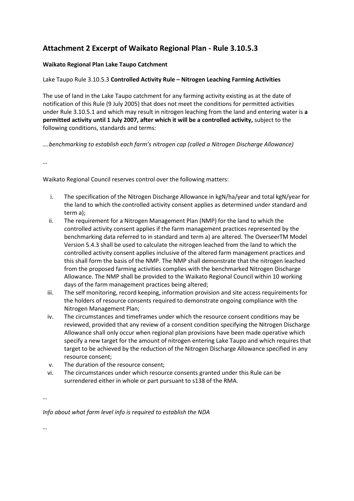# **Attachment 2 Excerpt of Waikato Regional Plan - Rule 3.10.5.3**

# **Waikato Regional Plan Lake Taupo Catchment**

# Lake Taupo Rule 3.10.5.3 **Controlled Activity Rule – Nitrogen Leaching Farming Activities**

The use of land in the Lake Taupo catchment for any farming activity existing as at the date of notification of this Rule (9 July 2005) that does not meet the conditions for permitted activities under Rule 3.10.5.1 and which may result in nitrogen leaching from the land and entering water is **a permitted activity until 1 July 2007, after which it will be a controlled activity,** subject to the following conditions, standards and terms:

*….benchmarking to establish each farm's nitrogen cap (called a Nitrogen Discharge Allowance)*

…

Waikato Regional Council reserves control over the following matters:

- i. The specification of the Nitrogen Discharge Allowance in kgN/ha/year and total kgN/year for the land to which the controlled activity consent applies as determined under standard and term a);
- ii. The requirement for a Nitrogen Management Plan (NMP) for the land to which the controlled activity consent applies if the farm management practices represented by the benchmarking data referred to in standard and term a) are altered. The OverseerTM Model Version 5.4.3 shall be used to calculate the nitrogen leached from the land to which the controlled activity consent applies inclusive of the altered farm management practices and this shall form the basis of the NMP. The NMP shall demonstrate that the nitrogen leached from the proposed farming activities complies with the benchmarked Nitrogen Discharge Allowance. The NMP shall be provided to the Waikato Regional Council within 10 working days of the farm management practices being altered;
- iii. The self monitoring, record keeping, information provision and site access requirements for the holders of resource consents required to demonstrate ongoing compliance with the Nitrogen Management Plan;
- iv. The circumstances and timeframes under which the resource consent conditions may be reviewed, provided that any review of a consent condition specifying the Nitrogen Discharge Allowance shall only occur when regional plan provisions have been made operative which specify a new target for the amount of nitrogen entering Lake Taupo and which requires that target to be achieved by the reduction of the Nitrogen Discharge Allowance specified in any resource consent;
- v. The duration of the resource consent;
- vi. The circumstances under which resource consents granted under this Rule can be surrendered either in whole or part pursuant to s138 of the RMA.

*…*

*Info about what farm level info is required to establish the NDA* 

*…*